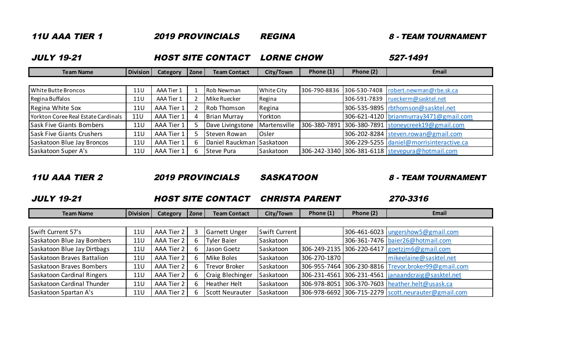| <i><b>11U AAA TIER 1</b></i>        |            |                          |      | <b>2019 PROVINCIALS</b>   | <i><b>REGINA</b></i> |              | <i><b>8 - TEAM TOURNAMENT</b></i> |                                                 |  |
|-------------------------------------|------------|--------------------------|------|---------------------------|----------------------|--------------|-----------------------------------|-------------------------------------------------|--|
| <b>JULY 19-21</b>                   |            | <b>HOST SITE CONTACT</b> |      |                           | <b>LORNE CHOW</b>    |              |                                   | 527-1491                                        |  |
| <b>Team Name</b>                    | Division   | Category                 | Zone | <b>Team Contact</b>       | City/Town            | Phone $(1)$  | Phone (2)                         | Email                                           |  |
|                                     |            |                          |      |                           |                      |              |                                   |                                                 |  |
| <b>White Butte Broncos</b>          | 11U        | AAA Tier 1               |      | Rob Newman                | <b>White City</b>    | 306-790-8836 | 306-530-7408                      | robert.newman@rbe.sk.ca                         |  |
| Regina Buffalos                     | 11U        | AAA Tier 1               |      | Mike Ruecker              | Regina               |              | 306-591-7839                      | rueckerm@sasktel.net                            |  |
| Regina White Sox                    | 11U        | AAA Tier 1               |      | <b>Rob Thomson</b>        | Regina               |              |                                   | 306-535-9895   rbthomson@sasktel.net            |  |
| Yorkton Coree Real Estate Cardinals | <b>11U</b> | AAA Tier 1               | 4    | <b>Brian Murray</b>       | Yorkton              |              |                                   | 306-621-4120   brianmurray3471@gmail.com        |  |
| <b>Sask Five Giants Bombers</b>     | 11U        | AAA Tier 1               |      | Dave Livingstone          | Martensville         | 306-380-7891 |                                   | 306-380-7891 stoneycreek19@gmail.com            |  |
| <b>Sask Five Giants Crushers</b>    | <b>11U</b> | AAA Tier 1               |      | Steven Rowan              | Osler                |              |                                   | 306-202-8284 steven.rowan@gmail.com             |  |
| Saskatoon Blue Jay Broncos          | <b>11U</b> | AAA Tier 1               | 6.   | Daniel Rauckman Saskatoon |                      |              |                                   | 306-229-5255 daniel@morrisinteractive.ca        |  |
| Saskatoon Super A's                 | <b>11U</b> | AAA Tier 1               | 6    | Steve Pura                | Saskatoon            |              |                                   | 306-242-3340 306-381-6118 stevepura@hotmail.com |  |

11U AAA TIER 2 2019 PROVINCIALS SASKATOON 8 - TEAM TOURNAMENT

### JULY 19-21 HOST SITE CONTACT CHRISTA PARENT 270-3316

| Division<br>Team Name | <i>c</i> ategory | <b>Zone</b> | Team Contact | City/Town | Phone (1) | Phone (2) | <u>Email</u> |
|-----------------------|------------------|-------------|--------------|-----------|-----------|-----------|--------------|

| Swift Current 57's          | 11U        | AAA Tier 2 | <b>Garnett Unger</b> | Swift Current |              | 306-461-6023   ungershow 5@gmail.com                 |
|-----------------------------|------------|------------|----------------------|---------------|--------------|------------------------------------------------------|
| Saskatoon Blue Jay Bombers  | <b>11U</b> | AAA Tier 2 | <b>Tyler Baier</b>   | Saskatoon     |              | 306-361-7476   baier26@hotmail.com                   |
| Saskatoon Blue Jay Dirtbags | <b>11U</b> | AAA Tier 2 | Jason Goetz          | Saskatoon     |              | 306-249-2135 306-220-6417 goetzjm6@gmail.com         |
| Saskatoon Braves Battalion  | <b>11U</b> | AAA Tier 2 | Mike Boles           | Saskatoon     | 306-270-1870 | mikeelaine@sasktel.net                               |
| Saskatoon Braves Bombers    | <b>11U</b> | AAA Tier 2 | <b>Trevor Broker</b> | Saskatoon     |              | 306-955-7464 306-230-8816 Trevor.broker99@gmail.com  |
| Saskatoon Cardinal Ringers  | <b>11U</b> | AAA Tier 2 | Craig Blechinger     | Saskatoon     |              | 306-231-4561 306-231-4561  janaandcraig@sasktel.net  |
| Saskatoon Cardinal Thunder  | <b>11U</b> | AAA Tier 2 | <b>Heather Helt</b>  | Saskatoon     |              | 306-978-8051 306-370-7603 heather.helt@usask.ca      |
| Saskatoon Spartan A's       | <b>11U</b> | AAA Tier 2 | Scott Neurauter      | Saskatoon     |              | 306-978-6692 306-715-2279  scott.neurauter@gmail.com |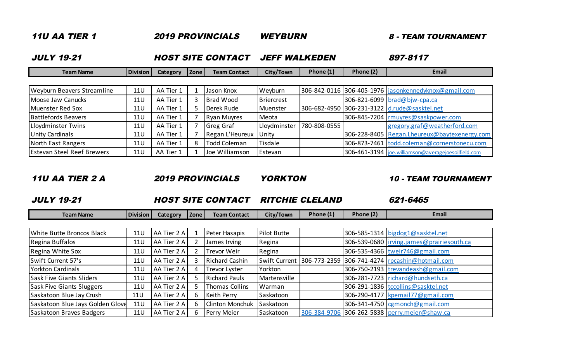| <i><b>11U AA TIER 1</b></i><br><b>2019 PROVINCIALS</b> |            |                          |      | <i><b>WEYBURN</b></i> |                      |              | <b>8 - TEAM TOURNAMENT</b> |                                                        |  |
|--------------------------------------------------------|------------|--------------------------|------|-----------------------|----------------------|--------------|----------------------------|--------------------------------------------------------|--|
| <b>JULY 19-21</b>                                      |            | <b>HOST SITE CONTACT</b> |      |                       | <b>JEFF WALKEDEN</b> |              |                            | 897-8117                                               |  |
| <b>Team Name</b>                                       | Division   | <b>Category</b>          | Zone | <b>Team Contact</b>   | City/Town            | Phone (1)    | Phone (2)                  | Email                                                  |  |
|                                                        |            |                          |      |                       |                      |              |                            |                                                        |  |
| Weyburn Beavers Streamline                             | <b>11U</b> | AA Tier 1                |      | Jason Knox            | Weyburn              |              |                            | 306-842-0116 306-405-1976   jasonkennedyknox@gmail.com |  |
| Moose Jaw Canucks                                      | 11U        | AA Tier 1                |      | <b>Brad Wood</b>      | Briercrest           |              |                            | 306-821-6099 brad@bjw-cpa.ca                           |  |
| Muenster Red Sox                                       | 11U        | AA Tier 1                |      | Derek Rude            | Muenster             | 306-682-4950 |                            | 306-231-3122 d.rude@sasktel.net                        |  |
| <b>Battlefords Beavers</b>                             | 11U        | AA Tier 1                |      | <b>Ryan Muyres</b>    | Meota                |              |                            | 306-845-7204   rmuyres@saskpower.com                   |  |
| Lloydminster Twins                                     | <b>11U</b> | AA Tier 1                |      | Greg Graf             | Lloydminster         | 780-808-0555 |                            | gregory.graf@weatherford.com                           |  |
| Unity Cardinals                                        | 11U        | AA Tier 1                |      | Regan L'Heureux       | Unity                |              |                            | 306-228-8405 Regan.Lheureux@baytexenergy.com           |  |
| North East Rangers                                     | <b>11U</b> | AA Tier 1                | 8    | <b>Todd Coleman</b>   | Tisdale              |              |                            | 306-873-7461 todd.coleman@cornerstonecu.com            |  |
| <b>Estevan Steel Reef Brewers</b>                      | <b>11U</b> | AA Tier 1                |      | Joe Williamson        | Estevan              |              |                            | 306-461-3194   joe. williamson@averagejoesoilfield.com |  |

11U AA TIER 2 A 2019 PROVINCIALS YORKTON 10 - TEAM TOURNAMENT

## JULY 19-21 HOST SITE CONTACT RITCHIE CLELAND 621-6465

| Team Name | <b>Division</b> | Category | Zone | Team Contact | City/Town | Phone (1 | $\sim$<br>Phone iz. | Email |
|-----------|-----------------|----------|------|--------------|-----------|----------|---------------------|-------|

| White Butte Broncos Black        | <b>11U</b> | AA Tier 2 A |   | Peter Hasapis         | <b>Pilot Butte</b> |  | 306-585-1314 bigdog1@sasktel.net                                   |
|----------------------------------|------------|-------------|---|-----------------------|--------------------|--|--------------------------------------------------------------------|
| Regina Buffalos                  | <b>11U</b> | AA Tier 2 A |   | James Irving          | Regina             |  | 306-539-0680   irving.james@prairiesouth.ca                        |
| Regina White Sox                 | <b>11U</b> | AA Tier 2 A |   | Trevor Weir           | Regina             |  | 306-535-4366 tweir746@gmail.com                                    |
| Swift Current 57's               | 11U        | AA Tier 2 A |   | <b>Richard Cashin</b> |                    |  | Swift Current   306-773-2359   306-741-4274   rpcashin@hotmail.com |
| <b>Yorkton Cardinals</b>         | 11U        | AA Tier 2 A | 4 | <b>Trevor Lyster</b>  | Yorkton            |  | 306-750-2193 trevandeash@gmail.com                                 |
| <b>Sask Five Giants Sliders</b>  | 11U        | AA Tier 2 A |   | <b>Richard Pauls</b>  | Martensville       |  | 306-281-7723 richard@hundseth.ca                                   |
| <b>Sask Five Giants Sluggers</b> | <b>11U</b> | AA Tier 2 A |   | Thomas Collins        | Warman             |  | 306-291-1836 tccollins@sasktel.net                                 |
| Saskatoon Blue Jay Crush         | 11U        | AA Tier 2 A |   | Keith Perry           | Saskatoon          |  | 306-290-4177 kpemail77@gmail.com                                   |
| Saskatoon Blue Jays Golden Glove | <b>11U</b> | AA Tier 2 A |   | Clinton Monchuk       | Saskatoon          |  | 306-341-4750 cgmonch@gmail.com                                     |
| Saskatoon Braves Badgers         | <b>11U</b> | AA Tier 2 A |   | Perry Meier           | Saskatoon          |  | 306-384-9706 306-262-5838 perry.meier@shaw.ca                      |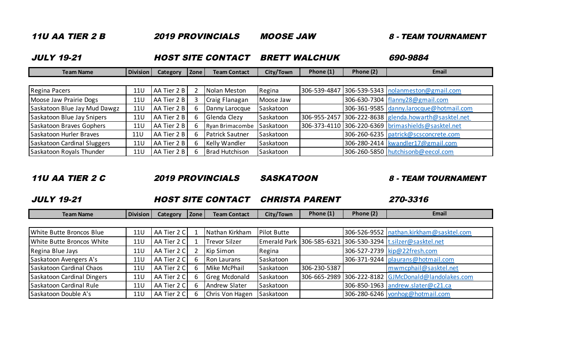| <i><b>11U AA TIER 2 B</b></i>                 |            |                 |             | <b>2019 PROVINCIALS</b> | <i><b>MOOSE JAW</b></i> |              |           | <i><b>8 - TEAM TOURNAMENT</b></i>       |  |
|-----------------------------------------------|------------|-----------------|-------------|-------------------------|-------------------------|--------------|-----------|-----------------------------------------|--|
| <b>JULY 19-21</b><br><b>HOST SITE CONTACT</b> |            |                 |             | <b>BRETT WALCHUK</b>    | 690-9884                |              |           |                                         |  |
| <b>Team Name</b>                              | Division   | <b>Category</b> | <b>Zone</b> | <b>Team Contact</b>     | City/Town               | Phone $(1)$  | Phone (2) | Email                                   |  |
|                                               |            |                 |             |                         |                         |              |           |                                         |  |
| Regina Pacers                                 | 11U        | AA Tier 2 B     | 2           | Nolan Meston            | Regina                  | 306-539-4847 |           | 306-539-5343   nolanmeston@gmail.com    |  |
| Moose Jaw Prairie Dogs                        | 11U        | AA Tier 2 B     | 3           | Craig Flanagan          | Moose Jaw               |              |           | 306-630-7304   flanny 28@gmail.com      |  |
| Saskatoon Blue Jay Mud Dawgz                  | <b>11U</b> | AA Tier 2 B     | 6           | Danny Larocque          | Saskatoon               |              |           | 306-361-9585 danny.larocque@hotmail.com |  |
| Saskatoon Blue Jay Snipers                    | 11U        | AA Tier 2 B     | 6           | Glenda Clezy            | Saskatoon               | 306-955-2457 |           | 306-222-8638 glenda.howarth@sasktel.net |  |
| Saskatoon Braves Gophers                      | 11U        | AA Tier 2 B     | 6           | Ryan Brimacombe         | Saskatoon               | 306-373-4110 |           | 306-220-6369 brimashields@sasktel.net   |  |
| Saskatoon Hurler Braves                       | 11U        | AA Tier 2 B     | 6           | <b>Patrick Sautner</b>  | Saskatoon               |              |           | 306-260-6235   patrick@scsconcrete.com  |  |
| Saskatoon Cardinal Sluggers                   | <b>11U</b> | AA Tier 2 B     | 6           | Kelly Wandler           | Saskatoon               |              |           | 306-280-2414   kwandler17@gmail.com     |  |
| Saskatoon Royals Thunder                      | 11U        | AA Tier 2 B     |             | <b>Brad Hutchison</b>   | Saskatoon               |              |           | 306-260-5850   hutchisonb@eecol.com     |  |

11U AA TIER 2 C 2019 PROVINCIALS SASKATOON 8 - TEAM TOURNAMENT

### JULY 19-21 HOST SITE CONTACT CHRISTA PARENT 270-3316

| Team Name | <b>Division</b> | category | <b>Zone</b> | <b>Team Contact</b> | City/Town | Phone (1) | Phone (2) | Email |
|-----------|-----------------|----------|-------------|---------------------|-----------|-----------|-----------|-------|

| White Butte Broncos Blue   | <b>11U</b> | AA Tier 2 C | Nathan Kirkham     | <b>Pilot Butte</b> |              | 306-526-9552   nathan.kirkham@sasktel.com                    |
|----------------------------|------------|-------------|--------------------|--------------------|--------------|--------------------------------------------------------------|
| White Butte Broncos White  | <b>11U</b> | AA Tier 2 C | Trevor Silzer      |                    |              | Emerald Park 306-585-6321 306-530-3294  t.silzer@sasktel.net |
| Regina Blue Jays           | 11U        | AA Tier 2 C | Kip Simon          | Regina             |              | 306-527-2739 kip@22fresh.com                                 |
| Saskatoon Avengers A's     | <b>11U</b> | AA Tier 2 C | <b>Ron Laurans</b> | Saskatoon          |              | 306-371-9244   plaurans@hotmail.com                          |
| Saskatoon Cardinal Chaos   | 11U        | AA Tier 2 C | Mike McPhail       | Saskatoon          | 306-230-5387 | mwmcphail@sasktel.net                                        |
| Saskatoon Cardinal Dingers | <b>11U</b> | AA Tier 2 C | Greg Mcdonald      | Saskatoon          |              | 306-665-2989 306-222-8182 GJMcDonald@landolakes.com          |
| Saskatoon Cardinal Rule    | 11U        | AA Tier 2 C | Andrew Slater      | Saskatoon          |              | 306-850-1963 andrew.slater@c21.ca                            |
| Saskatoon Double A's       | 11U        | AA Tier 2 C | Chris Von Hagen    | Saskatoon          |              | 306-280-6246 vonhog@hotmail.com                              |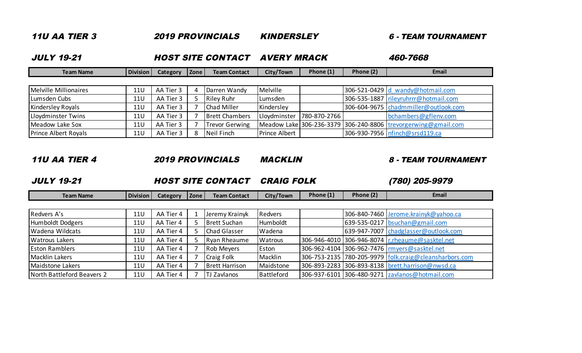| <i><b>11U AA TIER 3</b></i><br><b>2019 PROVINCIALS</b> |                          |           |      |                       | <b>KINDERSLEY</b>  |              |           | 6 - TEAM TOURNAMENT                                           |  |
|--------------------------------------------------------|--------------------------|-----------|------|-----------------------|--------------------|--------------|-----------|---------------------------------------------------------------|--|
| <b>JULY 19-21</b>                                      | <b>HOST SITE CONTACT</b> |           |      |                       | <b>AVERY MRACK</b> |              |           | 460-7668                                                      |  |
| <b>Team Name</b>                                       | <b>Division</b>          | Category  | Zone | <b>Team Contact</b>   | City/Town          | Phone (1)    | Phone (2) | Email                                                         |  |
|                                                        |                          |           |      |                       |                    |              |           |                                                               |  |
| Melville Millionaires                                  | <b>11U</b>               | AA Tier 3 |      | Darren Wandy          | Melville           |              |           | 306-521-0429 d wandy@hotmail.com                              |  |
| Lumsden Cubs                                           | <b>11U</b>               | AA Tier 3 |      | <b>Riley Ruhr</b>     | Lumsden            |              |           | 306-535-1887 rileyruhrrr@hotmail.com                          |  |
| <b>Kindersley Royals</b>                               | <b>11U</b>               | AA Tier 3 |      | <b>Chad Miller</b>    | Kindersley         |              |           | 306-604-9675 chadmmiller@outlook.com                          |  |
| Lloydminster Twins                                     | <b>11U</b>               | AA Tier 3 |      | <b>Brett Chambers</b> | Lloydminster       | 780-870-2766 |           | bchambers@gflenv.com                                          |  |
| Meadow Lake Sox                                        | <b>11U</b>               | AA Tier 3 |      | <b>Trevor Gerwing</b> |                    |              |           | Meadow Lake 306-236-3379 306-240-8806 trevorgerwing@gmail.com |  |
| <b>Prince Albert Royals</b>                            | <b>11U</b>               | AA Tier 3 | 8    | Neil Finch            | Prince Albert      |              |           | 306-930-7956 nfinch@srsd119.ca                                |  |

# 11U AA TIER 4 2019 PROVINCIALS MACKLIN 8 - TEAM TOURNAMENT

JULY 19-21 HOST SITE CONTACT CRAIG FOLK (780) 205-9979

| <b>Team Name</b>           | Division | Category  | Zone | <b>Team Contact</b>   | City/Town         | Phone (1) | Phone (2) | Email                                                  |
|----------------------------|----------|-----------|------|-----------------------|-------------------|-----------|-----------|--------------------------------------------------------|
|                            |          |           |      |                       |                   |           |           |                                                        |
| Redvers A's                | 11U      | AA Tier 4 |      | Jeremy Krainyk        | <b>Redvers</b>    |           |           | 306-840-7460 Jerome.krainyk@yahoo.ca                   |
| Humboldt Dodgers           | 11U      | AA Tier 4 |      | <b>Brett Suchan</b>   | Humboldt          |           |           | 639-535-0217 bsuchan@gmail.com                         |
| Wadena Wildcats            | 11U      | AA Tier 4 |      | <b>Chad Glasser</b>   | Wadena            |           |           | 639-947-7007 chadglasser@outlook.com                   |
| <b>Watrous Lakers</b>      | 11U      | AA Tier 4 |      | Ryan Rheaume          | <b>Watrous</b>    |           |           | 306-946-4010 306-946-8074 r.rheaume@sasktel.net        |
| <b>Eston Ramblers</b>      | 11U      | AA Tier 4 |      | <b>Rob Meyers</b>     | Eston             |           |           | 306-962-4104 306-962-7476 myers@sasktel.net            |
| <b>Macklin Lakers</b>      | 11U      | AA Tier 4 |      | <b>Craig Folk</b>     | Macklin           |           |           | 306-753-2135 780-205-9979 folk.craig@cleansharbors.com |
| Maidstone Lakers           | 11U      | AA Tier 4 |      | <b>Brett Harrison</b> | Maidstone         |           |           | 306-893-2283 306-893-8138   brett.harrison@nwsd.ca     |
| North Battleford Beavers 2 | 11U      | AA Tier 4 |      | <b>TJ Zavlanos</b>    | <b>Battleford</b> |           |           | 306-937-6101 306-480-9271 zavlanos@hotmail.com         |